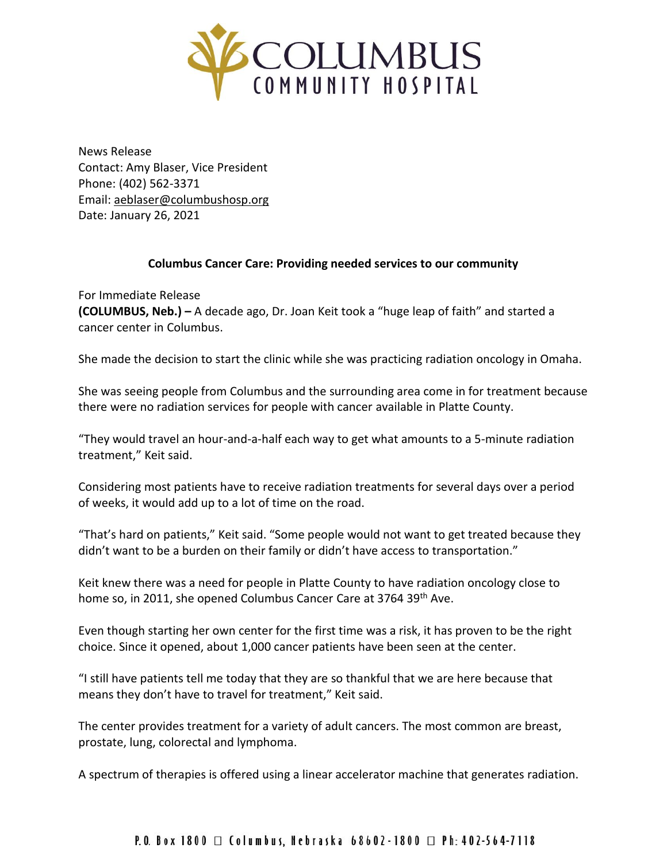

News Release Contact: Amy Blaser, Vice President Phone: (402) 562-3371 Email: [aeblaser@columbushosp.org](mailto:aeblaser@columbushosp.org) Date: January 26, 2021

## **Columbus Cancer Care: Providing needed services to our community**

For Immediate Release **(COLUMBUS, Neb.) –** A decade ago, Dr. Joan Keit took a "huge leap of faith" and started a cancer center in Columbus.

She made the decision to start the clinic while she was practicing radiation oncology in Omaha.

She was seeing people from Columbus and the surrounding area come in for treatment because there were no radiation services for people with cancer available in Platte County.

"They would travel an hour-and-a-half each way to get what amounts to a 5-minute radiation treatment," Keit said.

Considering most patients have to receive radiation treatments for several days over a period of weeks, it would add up to a lot of time on the road.

"That's hard on patients," Keit said. "Some people would not want to get treated because they didn't want to be a burden on their family or didn't have access to transportation."

Keit knew there was a need for people in Platte County to have radiation oncology close to home so, in 2011, she opened Columbus Cancer Care at 3764 39th Ave.

Even though starting her own center for the first time was a risk, it has proven to be the right choice. Since it opened, about 1,000 cancer patients have been seen at the center.

"I still have patients tell me today that they are so thankful that we are here because that means they don't have to travel for treatment," Keit said.

The center provides treatment for a variety of adult cancers. The most common are breast, prostate, lung, colorectal and lymphoma.

A spectrum of therapies is offered using a linear accelerator machine that generates radiation.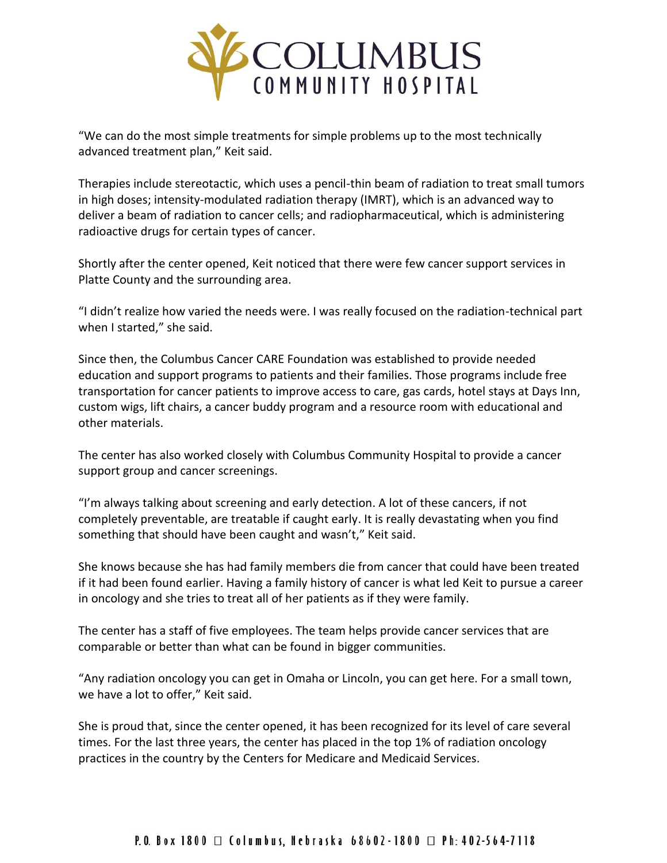

"We can do the most simple treatments for simple problems up to the most technically advanced treatment plan," Keit said.

Therapies include stereotactic, which uses a pencil-thin beam of radiation to treat small tumors in high doses; intensity-modulated radiation therapy (IMRT), which is an advanced way to deliver a beam of radiation to cancer cells; and radiopharmaceutical, which is administering radioactive drugs for certain types of cancer.

Shortly after the center opened, Keit noticed that there were few cancer support services in Platte County and the surrounding area.

"I didn't realize how varied the needs were. I was really focused on the radiation-technical part when I started," she said.

Since then, the Columbus Cancer CARE Foundation was established to provide needed education and support programs to patients and their families. Those programs include free transportation for cancer patients to improve access to care, gas cards, hotel stays at Days Inn, custom wigs, lift chairs, a cancer buddy program and a resource room with educational and other materials.

The center has also worked closely with Columbus Community Hospital to provide a cancer support group and cancer screenings.

"I'm always talking about screening and early detection. A lot of these cancers, if not completely preventable, are treatable if caught early. It is really devastating when you find something that should have been caught and wasn't," Keit said.

She knows because she has had family members die from cancer that could have been treated if it had been found earlier. Having a family history of cancer is what led Keit to pursue a career in oncology and she tries to treat all of her patients as if they were family.

The center has a staff of five employees. The team helps provide cancer services that are comparable or better than what can be found in bigger communities.

"Any radiation oncology you can get in Omaha or Lincoln, you can get here. For a small town, we have a lot to offer," Keit said.

She is proud that, since the center opened, it has been recognized for its level of care several times. For the last three years, the center has placed in the top 1% of radiation oncology practices in the country by the Centers for Medicare and Medicaid Services.